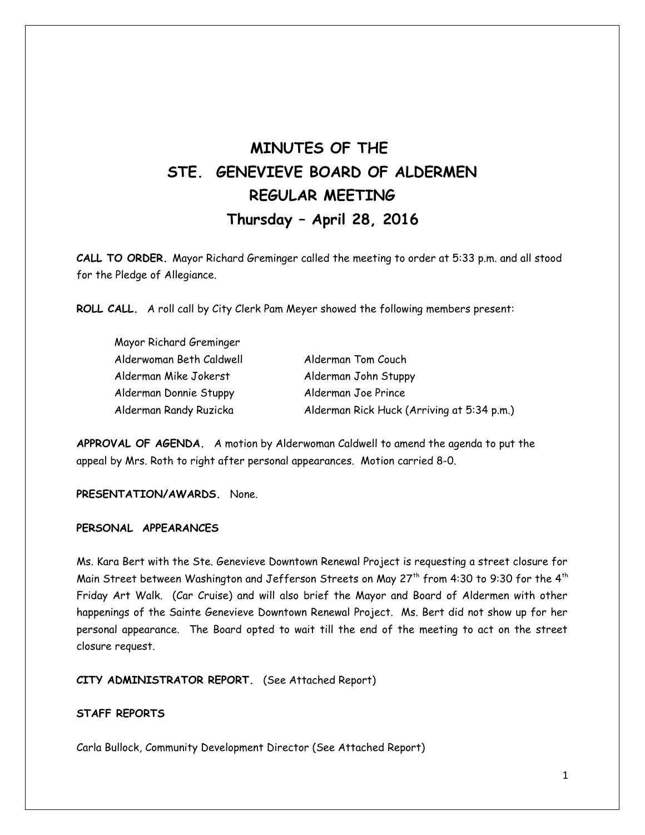# **MINUTES OF THE STE. GENEVIEVE BOARD OF ALDERMEN REGULAR MEETING Thursday – April 28, 2016**

**CALL TO ORDER.** Mayor Richard Greminger called the meeting to order at 5:33 p.m. and all stood for the Pledge of Allegiance.

**ROLL CALL.** A roll call by City Clerk Pam Meyer showed the following members present:

| Mayor Richard Greminger  |                                            |
|--------------------------|--------------------------------------------|
| Alderwoman Beth Caldwell | Alderman Tom Couch                         |
| Alderman Mike Jokerst    | Alderman John Stuppy                       |
| Alderman Donnie Stuppy   | Alderman Joe Prince                        |
| Alderman Randy Ruzicka   | Alderman Rick Huck (Arriving at 5:34 p.m.) |

**APPROVAL OF AGENDA.** A motion by Alderwoman Caldwell to amend the agenda to put the appeal by Mrs. Roth to right after personal appearances. Motion carried 8-0.

**PRESENTATION/AWARDS.** None.

# **PERSONAL APPEARANCES**

Ms. Kara Bert with the Ste. Genevieve Downtown Renewal Project is requesting a street closure for Main Street between Washington and Jefferson Streets on May 27<sup>th</sup> from 4:30 to 9:30 for the 4<sup>th</sup> Friday Art Walk. (Car Cruise) and will also brief the Mayor and Board of Aldermen with other happenings of the Sainte Genevieve Downtown Renewal Project. Ms. Bert did not show up for her personal appearance. The Board opted to wait till the end of the meeting to act on the street closure request.

**CITY ADMINISTRATOR REPORT.** (See Attached Report)

## **STAFF REPORTS**

Carla Bullock, Community Development Director (See Attached Report)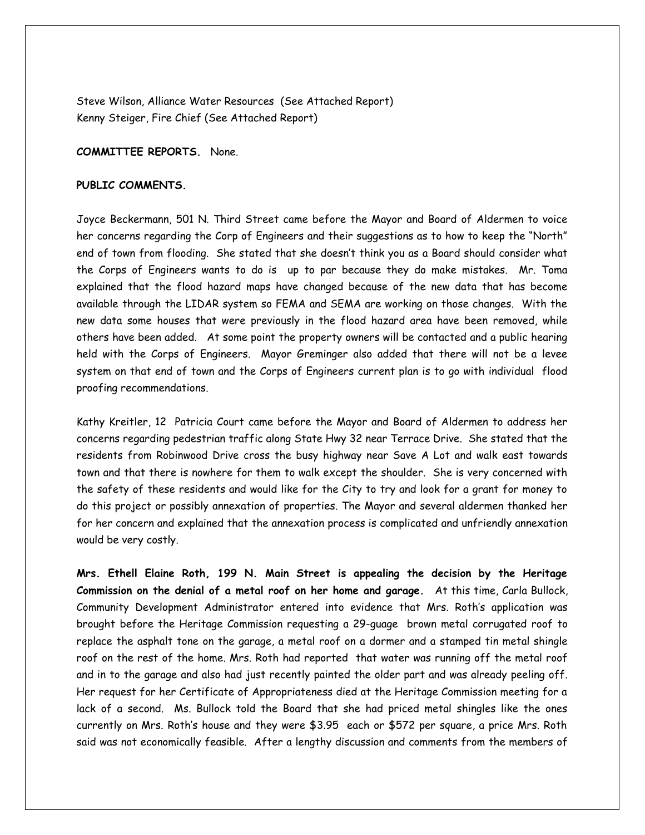Steve Wilson, Alliance Water Resources (See Attached Report) Kenny Steiger, Fire Chief (See Attached Report)

#### **COMMITTEE REPORTS.** None.

## **PUBLIC COMMENTS.**

Joyce Beckermann, 501 N. Third Street came before the Mayor and Board of Aldermen to voice her concerns regarding the Corp of Engineers and their suggestions as to how to keep the "North" end of town from flooding. She stated that she doesn't think you as a Board should consider what the Corps of Engineers wants to do is up to par because they do make mistakes. Mr. Toma explained that the flood hazard maps have changed because of the new data that has become available through the LIDAR system so FEMA and SEMA are working on those changes. With the new data some houses that were previously in the flood hazard area have been removed, while others have been added. At some point the property owners will be contacted and a public hearing held with the Corps of Engineers. Mayor Greminger also added that there will not be a levee system on that end of town and the Corps of Engineers current plan is to go with individual flood proofing recommendations.

Kathy Kreitler, 12 Patricia Court came before the Mayor and Board of Aldermen to address her concerns regarding pedestrian traffic along State Hwy 32 near Terrace Drive. She stated that the residents from Robinwood Drive cross the busy highway near Save A Lot and walk east towards town and that there is nowhere for them to walk except the shoulder. She is very concerned with the safety of these residents and would like for the City to try and look for a grant for money to do this project or possibly annexation of properties. The Mayor and several aldermen thanked her for her concern and explained that the annexation process is complicated and unfriendly annexation would be very costly.

**Mrs. Ethell Elaine Roth, 199 N. Main Street is appealing the decision by the Heritage Commission on the denial of a metal roof on her home and garage.** At this time, Carla Bullock, Community Development Administrator entered into evidence that Mrs. Roth's application was brought before the Heritage Commission requesting a 29-guage brown metal corrugated roof to replace the asphalt tone on the garage, a metal roof on a dormer and a stamped tin metal shingle roof on the rest of the home. Mrs. Roth had reported that water was running off the metal roof and in to the garage and also had just recently painted the older part and was already peeling off. Her request for her Certificate of Appropriateness died at the Heritage Commission meeting for a lack of a second. Ms. Bullock told the Board that she had priced metal shingles like the ones currently on Mrs. Roth's house and they were \$3.95 each or \$572 per square, a price Mrs. Roth said was not economically feasible. After a lengthy discussion and comments from the members of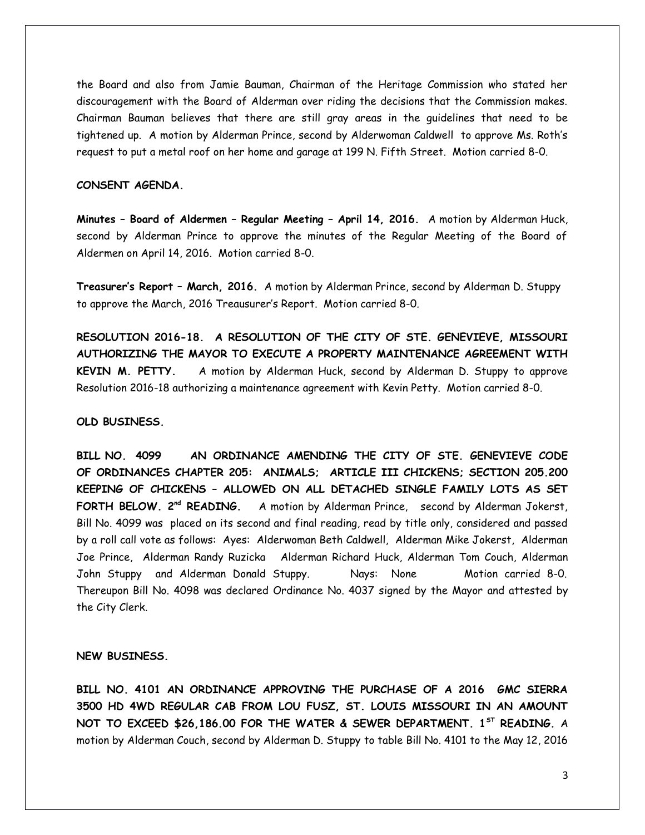the Board and also from Jamie Bauman, Chairman of the Heritage Commission who stated her discouragement with the Board of Alderman over riding the decisions that the Commission makes. Chairman Bauman believes that there are still gray areas in the guidelines that need to be tightened up. A motion by Alderman Prince, second by Alderwoman Caldwell to approve Ms. Roth's request to put a metal roof on her home and garage at 199 N. Fifth Street. Motion carried 8-0.

# **CONSENT AGENDA.**

**Minutes – Board of Aldermen – Regular Meeting – April 14, 2016.** A motion by Alderman Huck, second by Alderman Prince to approve the minutes of the Regular Meeting of the Board of Aldermen on April 14, 2016. Motion carried 8-0.

**Treasurer's Report – March, 2016.** A motion by Alderman Prince, second by Alderman D. Stuppy to approve the March, 2016 Treausurer's Report. Motion carried 8-0.

**RESOLUTION 2016-18. A RESOLUTION OF THE CITY OF STE. GENEVIEVE, MISSOURI AUTHORIZING THE MAYOR TO EXECUTE A PROPERTY MAINTENANCE AGREEMENT WITH KEVIN M. PETTY.** A motion by Alderman Huck, second by Alderman D. Stuppy to approve Resolution 2016-18 authorizing a maintenance agreement with Kevin Petty. Motion carried 8-0.

#### **OLD BUSINESS.**

**BILL NO. 4099 AN ORDINANCE AMENDING THE CITY OF STE. GENEVIEVE CODE OF ORDINANCES CHAPTER 205: ANIMALS; ARTICLE III CHICKENS; SECTION 205.200 KEEPING OF CHICKENS – ALLOWED ON ALL DETACHED SINGLE FAMILY LOTS AS SET FORTH BELOW. 2<sup>nd</sup> READING.** A motion by Alderman Prince, second by Alderman Jokerst, Bill No. 4099 was placed on its second and final reading, read by title only, considered and passed by a roll call vote as follows: Ayes: Alderwoman Beth Caldwell, Alderman Mike Jokerst, Alderman Joe Prince, Alderman Randy Ruzicka Alderman Richard Huck, Alderman Tom Couch, Alderman John Stuppy and Alderman Donald Stuppy. Nays: None Motion carried 8-0. Thereupon Bill No. 4098 was declared Ordinance No. 4037 signed by the Mayor and attested by the City Clerk.

#### **NEW BUSINESS.**

**BILL NO. 4101 AN ORDINANCE APPROVING THE PURCHASE OF A 2016 GMC SIERRA 3500 HD 4WD REGULAR CAB FROM LOU FUSZ, ST. LOUIS MISSOURI IN AN AMOUNT NOT TO EXCEED \$26,186.00 FOR THE WATER & SEWER DEPARTMENT. 1ST READING.** A motion by Alderman Couch, second by Alderman D. Stuppy to table Bill No. 4101 to the May 12, 2016